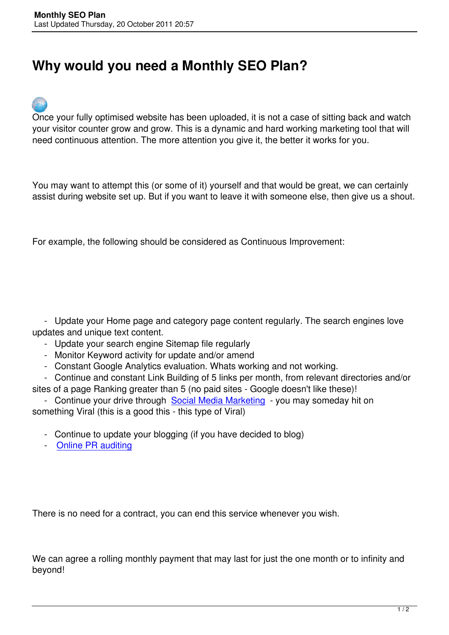## **Why would you need a Monthly SEO Plan?**



Once your fully optimised website has been uploaded, it is not a case of sitting back and watch your visitor counter grow and grow. This is a dynamic and hard working marketing tool that will need continuous attention. The more attention you give it, the better it works for you.

You may want to attempt this (or some of it) yourself and that would be great, we can certainly assist during website set up. But if you want to leave it with someone else, then give us a shout.

For example, the following should be considered as Continuous Improvement:

 - Update your Home page and category page content regularly. The search engines love updates and unique text content.

- Update your search engine Sitemap file regularly
- Monitor Keyword activity for update and/or amend
- Constant Google Analytics evaluation. Whats working and not working.
- Continue and constant Link Building of 5 links per month, from relevant directories and/or
- sites of a page Ranking greater than 5 (no paid sites Google doesn't like these)!
- Continue your drive through Social Media Marketing you may someday hit on something Viral (this is a good this - this type of Viral)
	- Continue to update your blog[ging \(if you have decide](index.php/website-marketing/social-media-marketing-facebook-twitter)d to blog)
	- Online PR auditing

There is no need for a contract, you can end this service whenever you wish.

We can agree a rolling monthly payment that may last for just the one month or to infinity and beyond!